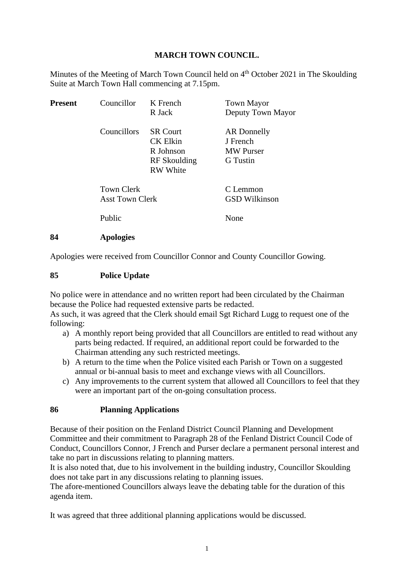### **MARCH TOWN COUNCIL.**

Minutes of the Meeting of March Town Council held on 4<sup>th</sup> October 2021 in The Skoulding Suite at March Town Hall commencing at 7.15pm.

| <b>Present</b> | Councillor                                  | K French<br>R Jack                                                                 | <b>Town Mayor</b><br>Deputy Town Mayor                         |
|----------------|---------------------------------------------|------------------------------------------------------------------------------------|----------------------------------------------------------------|
|                | Councillors                                 | <b>SR Court</b><br><b>CK Elkin</b><br>R Johnson<br>RF Skoulding<br><b>RW</b> White | <b>AR</b> Donnelly<br>J French<br><b>MW</b> Purser<br>G Tustin |
|                | <b>Town Clerk</b><br><b>Asst Town Clerk</b> |                                                                                    | C Lemmon<br><b>GSD Wilkinson</b>                               |
|                | Public                                      |                                                                                    | None                                                           |
| 84             | <b>Apologies</b>                            |                                                                                    |                                                                |

Apologies were received from Councillor Connor and County Councillor Gowing.

#### **85 Police Update**

No police were in attendance and no written report had been circulated by the Chairman because the Police had requested extensive parts be redacted.

As such, it was agreed that the Clerk should email Sgt Richard Lugg to request one of the following:

- a) A monthly report being provided that all Councillors are entitled to read without any parts being redacted. If required, an additional report could be forwarded to the Chairman attending any such restricted meetings.
- b) A return to the time when the Police visited each Parish or Town on a suggested annual or bi-annual basis to meet and exchange views with all Councillors.
- c) Any improvements to the current system that allowed all Councillors to feel that they were an important part of the on-going consultation process.

#### **86 Planning Applications**

Because of their position on the Fenland District Council Planning and Development Committee and their commitment to Paragraph 28 of the Fenland District Council Code of Conduct, Councillors Connor, J French and Purser declare a permanent personal interest and take no part in discussions relating to planning matters.

It is also noted that, due to his involvement in the building industry, Councillor Skoulding does not take part in any discussions relating to planning issues.

The afore-mentioned Councillors always leave the debating table for the duration of this agenda item.

It was agreed that three additional planning applications would be discussed.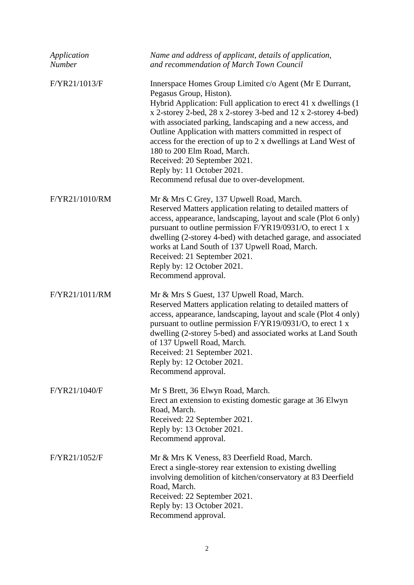| Application<br>Number | Name and address of applicant, details of application,<br>and recommendation of March Town Council                                                                                                                                                                                                                                                                                                                                                                                                                                                             |
|-----------------------|----------------------------------------------------------------------------------------------------------------------------------------------------------------------------------------------------------------------------------------------------------------------------------------------------------------------------------------------------------------------------------------------------------------------------------------------------------------------------------------------------------------------------------------------------------------|
| F/YR21/1013/F         | Innerspace Homes Group Limited c/o Agent (Mr E Durrant,<br>Pegasus Group, Histon).<br>Hybrid Application: Full application to erect 41 x dwellings (1<br>x 2-storey 2-bed, 28 x 2-storey 3-bed and 12 x 2-storey 4-bed)<br>with associated parking, landscaping and a new access, and<br>Outline Application with matters committed in respect of<br>access for the erection of up to 2 x dwellings at Land West of<br>180 to 200 Elm Road, March.<br>Received: 20 September 2021.<br>Reply by: 11 October 2021.<br>Recommend refusal due to over-development. |
| F/YR21/1010/RM        | Mr & Mrs C Grey, 137 Upwell Road, March.<br>Reserved Matters application relating to detailed matters of<br>access, appearance, landscaping, layout and scale (Plot 6 only)<br>pursuant to outline permission F/YR19/0931/O, to erect 1 x<br>dwelling (2-storey 4-bed) with detached garage, and associated<br>works at Land South of 137 Upwell Road, March.<br>Received: 21 September 2021.<br>Reply by: 12 October 2021.<br>Recommend approval.                                                                                                             |
| F/YR21/1011/RM        | Mr & Mrs S Guest, 137 Upwell Road, March.<br>Reserved Matters application relating to detailed matters of<br>access, appearance, landscaping, layout and scale (Plot 4 only)<br>pursuant to outline permission F/YR19/0931/O, to erect 1 x<br>dwelling (2-storey 5-bed) and associated works at Land South<br>of 137 Upwell Road, March.<br>Received: 21 September 2021.<br>Reply by: 12 October 2021.<br>Recommend approval.                                                                                                                                  |
| F/YR21/1040/F         | Mr S Brett, 36 Elwyn Road, March.<br>Erect an extension to existing domestic garage at 36 Elwyn<br>Road, March.<br>Received: 22 September 2021.<br>Reply by: 13 October 2021.<br>Recommend approval.                                                                                                                                                                                                                                                                                                                                                           |
| F/YR21/1052/F         | Mr & Mrs K Veness, 83 Deerfield Road, March.<br>Erect a single-storey rear extension to existing dwelling<br>involving demolition of kitchen/conservatory at 83 Deerfield<br>Road, March.<br>Received: 22 September 2021.<br>Reply by: 13 October 2021.<br>Recommend approval.                                                                                                                                                                                                                                                                                 |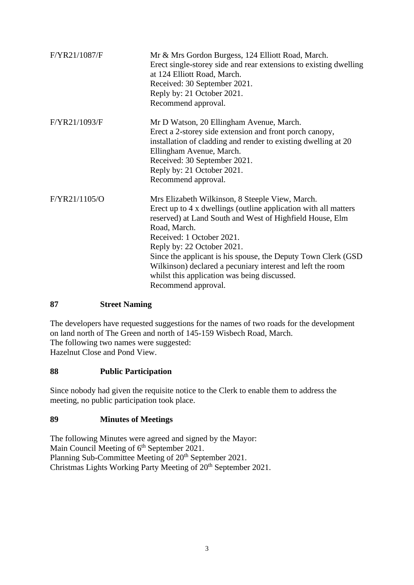| F/YR21/1087/F | Mr & Mrs Gordon Burgess, 124 Elliott Road, March.<br>Erect single-storey side and rear extensions to existing dwelling<br>at 124 Elliott Road, March.<br>Received: 30 September 2021.<br>Reply by: 21 October 2021.<br>Recommend approval.                                                                                                                                                                                                                       |
|---------------|------------------------------------------------------------------------------------------------------------------------------------------------------------------------------------------------------------------------------------------------------------------------------------------------------------------------------------------------------------------------------------------------------------------------------------------------------------------|
| F/YR21/1093/F | Mr D Watson, 20 Ellingham Avenue, March.<br>Erect a 2-storey side extension and front porch canopy,<br>installation of cladding and render to existing dwelling at 20<br>Ellingham Avenue, March.<br>Received: 30 September 2021.<br>Reply by: 21 October 2021.<br>Recommend approval.                                                                                                                                                                           |
| F/YR21/1105/O | Mrs Elizabeth Wilkinson, 8 Steeple View, March.<br>Erect up to 4 x dwellings (outline application with all matters<br>reserved) at Land South and West of Highfield House, Elm<br>Road, March.<br>Received: 1 October 2021.<br>Reply by: 22 October 2021.<br>Since the applicant is his spouse, the Deputy Town Clerk (GSD)<br>Wilkinson) declared a pecuniary interest and left the room<br>whilst this application was being discussed.<br>Recommend approval. |

#### **87 Street Naming**

The developers have requested suggestions for the names of two roads for the development on land north of The Green and north of 145-159 Wisbech Road, March. The following two names were suggested: Hazelnut Close and Pond View.

#### **88 Public Participation**

Since nobody had given the requisite notice to the Clerk to enable them to address the meeting, no public participation took place.

## **89 Minutes of Meetings**

The following Minutes were agreed and signed by the Mayor: Main Council Meeting of 6<sup>th</sup> September 2021. Planning Sub-Committee Meeting of 20<sup>th</sup> September 2021. Christmas Lights Working Party Meeting of 20<sup>th</sup> September 2021.